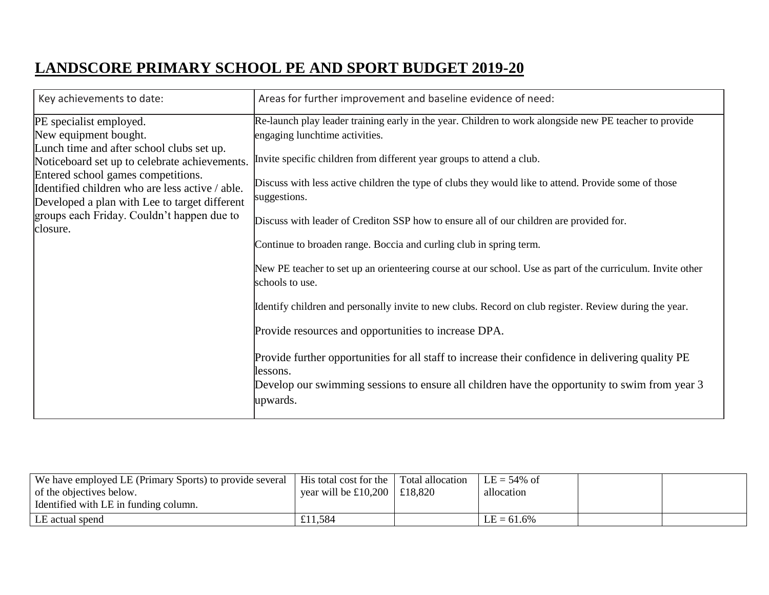## **LANDSCORE PRIMARY SCHOOL PE AND SPORT BUDGET 2019-20**

| Key achievements to date:                                                                                                                                                                                                                                                                                                                          | Areas for further improvement and baseline evidence of need:                                                                                                                                                                                                                                                                                                                                                                                                                                                                                                                                                                                                                                                                                                                                                                                                                                                                                                                                                                                 |
|----------------------------------------------------------------------------------------------------------------------------------------------------------------------------------------------------------------------------------------------------------------------------------------------------------------------------------------------------|----------------------------------------------------------------------------------------------------------------------------------------------------------------------------------------------------------------------------------------------------------------------------------------------------------------------------------------------------------------------------------------------------------------------------------------------------------------------------------------------------------------------------------------------------------------------------------------------------------------------------------------------------------------------------------------------------------------------------------------------------------------------------------------------------------------------------------------------------------------------------------------------------------------------------------------------------------------------------------------------------------------------------------------------|
| PE specialist employed.<br>New equipment bought.<br>Lunch time and after school clubs set up.<br>Noticeboard set up to celebrate achievements.<br>Entered school games competitions.<br>Identified children who are less active / able.<br>Developed a plan with Lee to target different<br>groups each Friday. Couldn't happen due to<br>closure. | Re-launch play leader training early in the year. Children to work alongside new PE teacher to provide<br>engaging lunchtime activities.<br>Invite specific children from different year groups to attend a club.<br>Discuss with less active children the type of clubs they would like to attend. Provide some of those<br>suggestions.<br>Discuss with leader of Crediton SSP how to ensure all of our children are provided for.<br>Continue to broaden range. Boccia and curling club in spring term.<br>New PE teacher to set up an orienteering course at our school. Use as part of the curriculum. Invite other<br>schools to use.<br>Identify children and personally invite to new clubs. Record on club register. Review during the year.<br>Provide resources and opportunities to increase DPA.<br>Provide further opportunities for all staff to increase their confidence in delivering quality PE<br>llessons.<br>Develop our swimming sessions to ensure all children have the opportunity to swim from year 3<br>upwards. |

| We have employed LE (Primary Sports) to provide several<br>of the objectives below. | His total cost for the Total allocation<br>year will be £10,200   £18,820 | $LE = 54\%$ of<br>allocation |  |
|-------------------------------------------------------------------------------------|---------------------------------------------------------------------------|------------------------------|--|
| Identified with LE in funding column.                                               |                                                                           |                              |  |
| LE actual spend                                                                     | 11.584                                                                    | $LE = 61.6\%$                |  |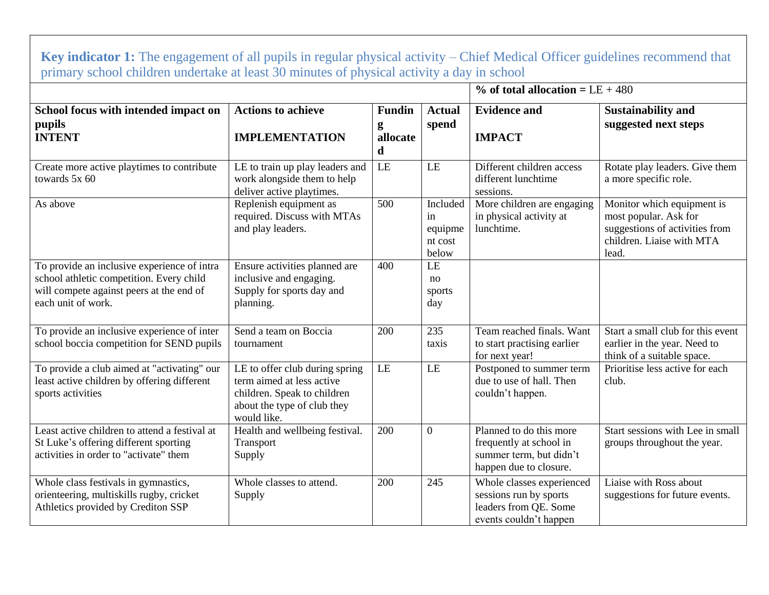| primary school children undertake at least 30 minutes of physical activity a day in school                                                                |                                                                                                                                          |                                     |                                               |                                                                                                         |                                                                                                                             |  |  |
|-----------------------------------------------------------------------------------------------------------------------------------------------------------|------------------------------------------------------------------------------------------------------------------------------------------|-------------------------------------|-----------------------------------------------|---------------------------------------------------------------------------------------------------------|-----------------------------------------------------------------------------------------------------------------------------|--|--|
|                                                                                                                                                           |                                                                                                                                          |                                     |                                               | $%$ of total allocation = LE + 480                                                                      |                                                                                                                             |  |  |
| School focus with intended impact on<br>pupils<br><b>INTENT</b>                                                                                           | <b>Actions to achieve</b><br><b>IMPLEMENTATION</b>                                                                                       | <b>Fundin</b><br>g<br>allocate<br>d | <b>Actual</b><br>spend                        | <b>Evidence and</b><br><b>IMPACT</b>                                                                    | <b>Sustainability and</b><br>suggested next steps                                                                           |  |  |
| Create more active playtimes to contribute<br>towards 5x 60                                                                                               | LE to train up play leaders and<br>work alongside them to help<br>deliver active playtimes.                                              | LE                                  | LE                                            | Different children access<br>different lunchtime<br>sessions.                                           | Rotate play leaders. Give them<br>a more specific role.                                                                     |  |  |
| As above                                                                                                                                                  | Replenish equipment as<br>required. Discuss with MTAs<br>and play leaders.                                                               | 500                                 | Included<br>in<br>equipme<br>nt cost<br>below | More children are engaging<br>in physical activity at<br>lunchtime.                                     | Monitor which equipment is<br>most popular. Ask for<br>suggestions of activities from<br>children. Liaise with MTA<br>lead. |  |  |
| To provide an inclusive experience of intra<br>school athletic competition. Every child<br>will compete against peers at the end of<br>each unit of work. | Ensure activities planned are<br>inclusive and engaging.<br>Supply for sports day and<br>planning.                                       | 400                                 | LE<br>no<br>sports<br>day                     |                                                                                                         |                                                                                                                             |  |  |
| To provide an inclusive experience of inter<br>school boccia competition for SEND pupils                                                                  | Send a team on Boccia<br>tournament                                                                                                      | 200                                 | 235<br>taxis                                  | Team reached finals. Want<br>to start practising earlier<br>for next year!                              | Start a small club for this event<br>earlier in the year. Need to<br>think of a suitable space.                             |  |  |
| To provide a club aimed at "activating" our<br>least active children by offering different<br>sports activities                                           | LE to offer club during spring<br>term aimed at less active<br>children. Speak to children<br>about the type of club they<br>would like. | LE                                  | LE                                            | Postponed to summer term<br>due to use of hall. Then<br>couldn't happen.                                | Prioritise less active for each<br>club.                                                                                    |  |  |
| Least active children to attend a festival at<br>St Luke's offering different sporting<br>activities in order to "activate" them                          | Health and wellbeing festival.<br>Transport<br>Supply                                                                                    | 200                                 | $\overline{0}$                                | Planned to do this more<br>frequently at school in<br>summer term, but didn't<br>happen due to closure. | Start sessions with Lee in small<br>groups throughout the year.                                                             |  |  |
| Whole class festivals in gymnastics,<br>orienteering, multiskills rugby, cricket<br>Athletics provided by Crediton SSP                                    | Whole classes to attend.<br>Supply                                                                                                       | 200                                 | 245                                           | Whole classes experienced<br>sessions run by sports<br>leaders from QE. Some<br>events couldn't happen  | Liaise with Ross about<br>suggestions for future events.                                                                    |  |  |

**Key indicator 1:** The engagement of all pupils in regular physical activity – Chief Medical Officer guidelines recommend that primary school children undertake at least 30 minutes of physical activity a day in school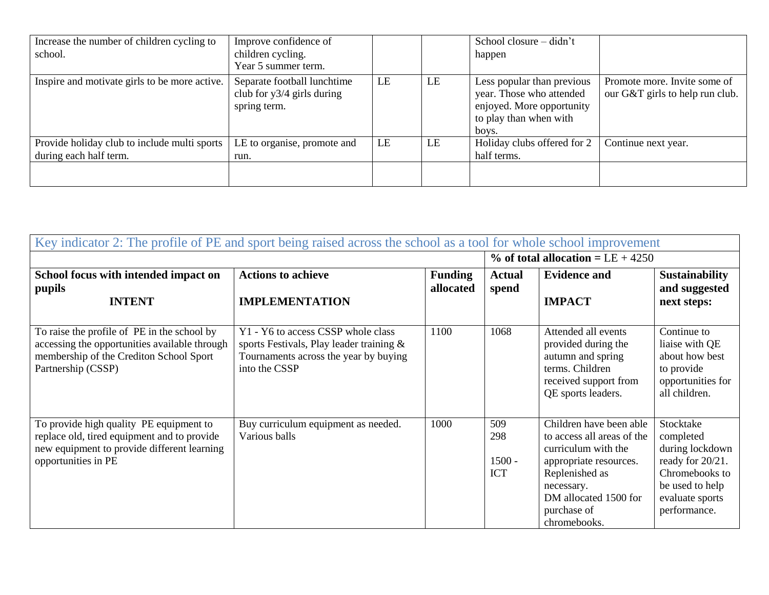| Increase the number of children cycling to<br>school.                  | Improve confidence of<br>children cycling.<br>Year 5 summer term.           |    |    | School closure $-$ didn't<br>happen                                                                                    |                                                                 |
|------------------------------------------------------------------------|-----------------------------------------------------------------------------|----|----|------------------------------------------------------------------------------------------------------------------------|-----------------------------------------------------------------|
| Inspire and motivate girls to be more active.                          | Separate football lunchtime<br>club for $y3/4$ girls during<br>spring term. | LE | LE | Less popular than previous<br>year. Those who attended<br>enjoyed. More opportunity<br>to play than when with<br>boys. | Promote more. Invite some of<br>our G&T girls to help run club. |
| Provide holiday club to include multi sports<br>during each half term. | LE to organise, promote and<br>run.                                         | LE | LE | Holiday clubs offered for 2<br>half terms.                                                                             | Continue next year.                                             |
|                                                                        |                                                                             |    |    |                                                                                                                        |                                                                 |

| Key indicator 2: The profile of PE and sport being raised across the school as a tool for whole school improvement                                            |                                                                                                                                          |                             |                                      |                                                                                                                                                                                                |                                                                                                                                       |  |
|---------------------------------------------------------------------------------------------------------------------------------------------------------------|------------------------------------------------------------------------------------------------------------------------------------------|-----------------------------|--------------------------------------|------------------------------------------------------------------------------------------------------------------------------------------------------------------------------------------------|---------------------------------------------------------------------------------------------------------------------------------------|--|
|                                                                                                                                                               |                                                                                                                                          |                             |                                      | $\%$ of total allocation = LE + 4250                                                                                                                                                           |                                                                                                                                       |  |
| School focus with intended impact on<br>pupils<br><b>INTENT</b>                                                                                               | <b>Actions to achieve</b><br><b>IMPLEMENTATION</b>                                                                                       | <b>Funding</b><br>allocated | <b>Actual</b><br>spend               | <b>Evidence and</b><br><b>IMPACT</b>                                                                                                                                                           | <b>Sustainability</b><br>and suggested<br>next steps:                                                                                 |  |
| To raise the profile of PE in the school by<br>accessing the opportunities available through<br>membership of the Crediton School Sport<br>Partnership (CSSP) | Y1 - Y6 to access CSSP whole class<br>sports Festivals, Play leader training &<br>Tournaments across the year by buying<br>into the CSSP | 1100                        | 1068                                 | Attended all events<br>provided during the<br>autumn and spring<br>terms. Children<br>received support from<br>QE sports leaders.                                                              | Continue to<br>liaise with QE<br>about how best<br>to provide<br>opportunities for<br>all children.                                   |  |
| To provide high quality PE equipment to<br>replace old, tired equipment and to provide<br>new equipment to provide different learning<br>opportunities in PE  | Buy curriculum equipment as needed.<br>Various balls                                                                                     | 1000                        | 509<br>298<br>$1500 -$<br><b>ICT</b> | Children have been able<br>to access all areas of the<br>curriculum with the<br>appropriate resources.<br>Replenished as<br>necessary.<br>DM allocated 1500 for<br>purchase of<br>chromebooks. | Stocktake<br>completed<br>during lockdown<br>ready for 20/21.<br>Chromebooks to<br>be used to help<br>evaluate sports<br>performance. |  |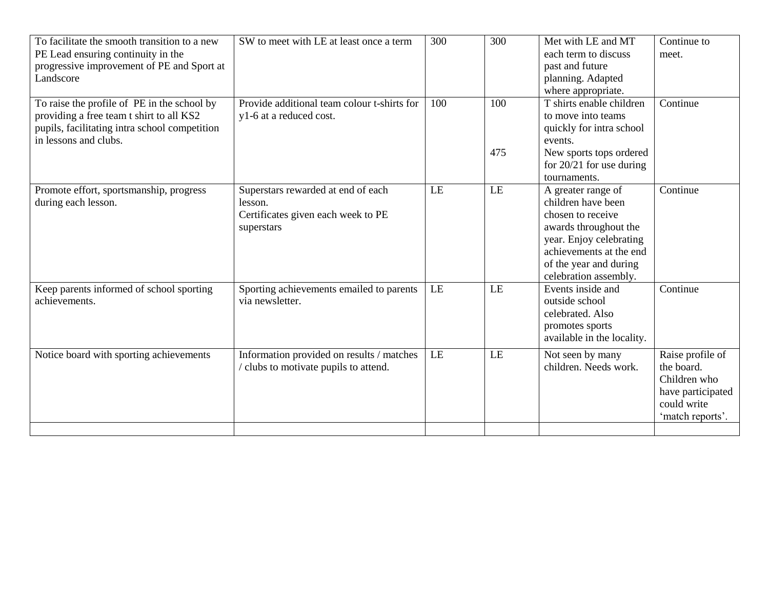| To facilitate the smooth transition to a new<br>PE Lead ensuring continuity in the<br>progressive improvement of PE and Sport at<br>Landscore                     | SW to meet with LE at least once a term                                                           | 300 | 300        | Met with LE and MT<br>each term to discuss<br>past and future<br>planning. Adapted<br>where appropriate.                                                                                        | Continue to<br>meet.                                                                                   |
|-------------------------------------------------------------------------------------------------------------------------------------------------------------------|---------------------------------------------------------------------------------------------------|-----|------------|-------------------------------------------------------------------------------------------------------------------------------------------------------------------------------------------------|--------------------------------------------------------------------------------------------------------|
| To raise the profile of PE in the school by<br>providing a free team t shirt to all KS2<br>pupils, facilitating intra school competition<br>in lessons and clubs. | Provide additional team colour t-shirts for<br>y1-6 at a reduced cost.                            | 100 | 100<br>475 | T shirts enable children<br>to move into teams<br>quickly for intra school<br>events.<br>New sports tops ordered<br>for $20/21$ for use during<br>tournaments.                                  | Continue                                                                                               |
| Promote effort, sportsmanship, progress<br>during each lesson.                                                                                                    | Superstars rewarded at end of each<br>lesson.<br>Certificates given each week to PE<br>superstars | LE  | LE         | A greater range of<br>children have been<br>chosen to receive<br>awards throughout the<br>year. Enjoy celebrating<br>achievements at the end<br>of the year and during<br>celebration assembly. | Continue                                                                                               |
| Keep parents informed of school sporting<br>achievements.                                                                                                         | Sporting achievements emailed to parents<br>via newsletter.                                       | LE  | LE         | Events inside and<br>outside school<br>celebrated. Also<br>promotes sports<br>available in the locality.                                                                                        | Continue                                                                                               |
| Notice board with sporting achievements                                                                                                                           | Information provided on results / matches<br>clubs to motivate pupils to attend.                  | LE  | LE         | Not seen by many<br>children. Needs work.                                                                                                                                                       | Raise profile of<br>the board.<br>Children who<br>have participated<br>could write<br>'match reports'. |
|                                                                                                                                                                   |                                                                                                   |     |            |                                                                                                                                                                                                 |                                                                                                        |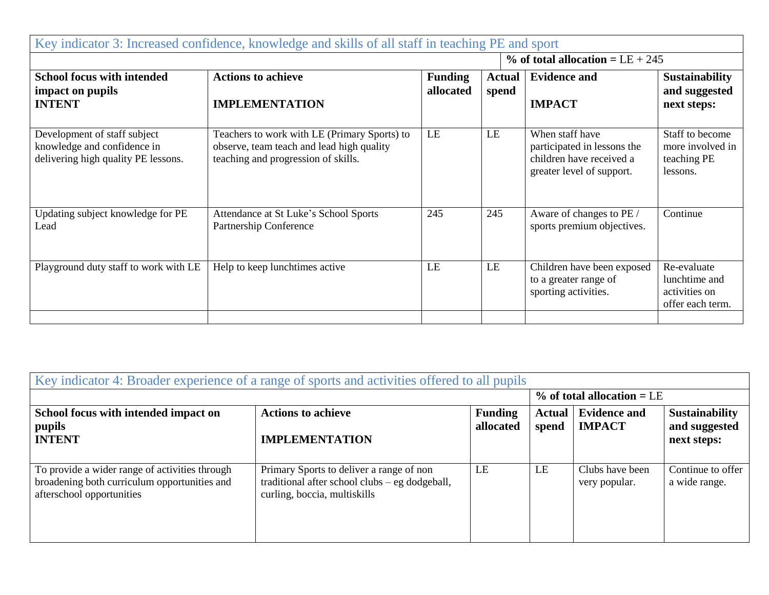| Key indicator 3: Increased confidence, knowledge and skills of all staff in teaching PE and sport  |                                                                                                                                  |                             |                        |                                                                                                         |                                                                   |
|----------------------------------------------------------------------------------------------------|----------------------------------------------------------------------------------------------------------------------------------|-----------------------------|------------------------|---------------------------------------------------------------------------------------------------------|-------------------------------------------------------------------|
| $%$ of total allocation = LE + 245                                                                 |                                                                                                                                  |                             |                        |                                                                                                         |                                                                   |
| <b>School focus with intended</b><br>impact on pupils<br><b>INTENT</b>                             | <b>Actions to achieve</b><br><b>IMPLEMENTATION</b>                                                                               | <b>Funding</b><br>allocated | <b>Actual</b><br>spend | <b>Evidence and</b><br><b>IMPACT</b>                                                                    | <b>Sustainability</b><br>and suggested<br>next steps:             |
| Development of staff subject<br>knowledge and confidence in<br>delivering high quality PE lessons. | Teachers to work with LE (Primary Sports) to<br>observe, team teach and lead high quality<br>teaching and progression of skills. | LE                          | LE                     | When staff have<br>participated in lessons the<br>children have received a<br>greater level of support. | Staff to become<br>more involved in<br>teaching PE<br>lessons.    |
| Updating subject knowledge for PE<br>Lead                                                          | Attendance at St Luke's School Sports<br>Partnership Conference                                                                  | 245                         | 245                    | Aware of changes to PE /<br>sports premium objectives.                                                  | Continue                                                          |
| Playground duty staff to work with LE                                                              | Help to keep lunchtimes active                                                                                                   | LE                          | LE                     | Children have been exposed<br>to a greater range of<br>sporting activities.                             | Re-evaluate<br>lunchtime and<br>activities on<br>offer each term. |

| Key indicator 4: Broader experience of a range of sports and activities offered to all pupils                               |                                                                                                                              |                             |                        |                                      |                                                       |  |
|-----------------------------------------------------------------------------------------------------------------------------|------------------------------------------------------------------------------------------------------------------------------|-----------------------------|------------------------|--------------------------------------|-------------------------------------------------------|--|
|                                                                                                                             |                                                                                                                              |                             |                        | $%$ of total allocation = LE         |                                                       |  |
| School focus with intended impact on<br>pupils<br><b>INTENT</b>                                                             | <b>Actions to achieve</b><br><b>IMPLEMENTATION</b>                                                                           | <b>Funding</b><br>allocated | <b>Actual</b><br>spend | <b>Evidence and</b><br><b>IMPACT</b> | <b>Sustainability</b><br>and suggested<br>next steps: |  |
| To provide a wider range of activities through<br>broadening both curriculum opportunities and<br>afterschool opportunities | Primary Sports to deliver a range of non<br>traditional after school clubs $-$ eg dodgeball,<br>curling, boccia, multiskills | LE                          | LE                     | Clubs have been<br>very popular.     | Continue to offer<br>a wide range.                    |  |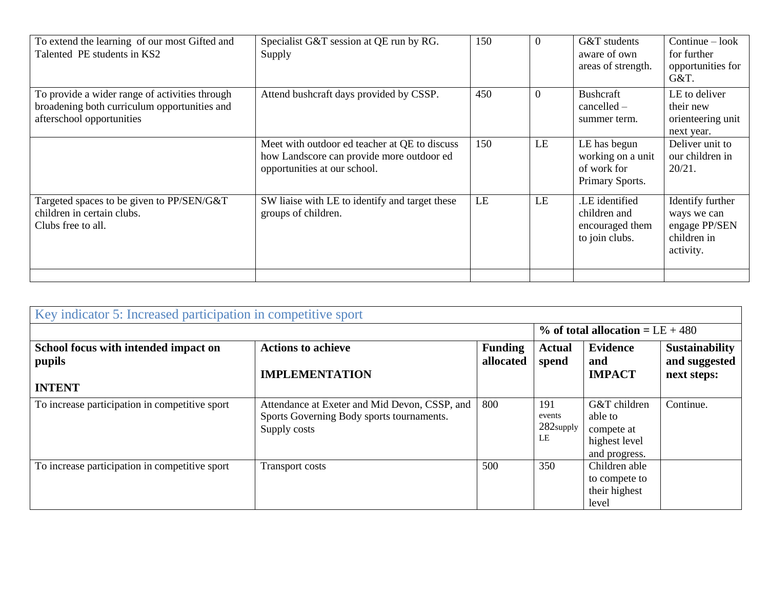| To extend the learning of our most Gifted and<br>Talented PE students in KS2                                                | Specialist G&T session at QE run by RG.<br>Supply                                                                          | 150 | $\Omega$       | G&T students<br>aware of own<br>areas of strength.                  | $Continue - look$<br>for further<br>opportunities for<br>G&T.                |
|-----------------------------------------------------------------------------------------------------------------------------|----------------------------------------------------------------------------------------------------------------------------|-----|----------------|---------------------------------------------------------------------|------------------------------------------------------------------------------|
| To provide a wider range of activities through<br>broadening both curriculum opportunities and<br>afterschool opportunities | Attend bushcraft days provided by CSSP.                                                                                    | 450 | $\overline{0}$ | Bushcraft<br>$cancelled -$<br>summer term.                          | LE to deliver<br>their new<br>orienteering unit<br>next year.                |
|                                                                                                                             | Meet with outdoor ed teacher at QE to discuss<br>how Landscore can provide more outdoor ed<br>opportunities at our school. | 150 | LE             | LE has begun<br>working on a unit<br>of work for<br>Primary Sports. | Deliver unit to<br>our children in<br>$20/21$ .                              |
| Targeted spaces to be given to PP/SEN/G&T<br>children in certain clubs.<br>Clubs free to all.                               | SW liaise with LE to identify and target these<br>groups of children.                                                      | LE  | LE             | .LE identified<br>children and<br>encouraged them<br>to join clubs. | Identify further<br>ways we can<br>engage PP/SEN<br>children in<br>activity. |
|                                                                                                                             |                                                                                                                            |     |                |                                                                     |                                                                              |

| Key indicator 5: Increased participation in competitive sport   |                                                                                                            |                             |                                     |                                                                         |                                                       |
|-----------------------------------------------------------------|------------------------------------------------------------------------------------------------------------|-----------------------------|-------------------------------------|-------------------------------------------------------------------------|-------------------------------------------------------|
|                                                                 |                                                                                                            |                             |                                     | % of total allocation = $LE + 480$                                      |                                                       |
| School focus with intended impact on<br>pupils<br><b>INTENT</b> | <b>Actions to achieve</b><br><b>IMPLEMENTATION</b>                                                         | <b>Funding</b><br>allocated | <b>Actual</b><br>spend              | <b>Evidence</b><br>and<br><b>IMPACT</b>                                 | <b>Sustainability</b><br>and suggested<br>next steps: |
| To increase participation in competitive sport                  | Attendance at Exeter and Mid Devon, CSSP, and<br>Sports Governing Body sports tournaments.<br>Supply costs | 800                         | 191<br>events<br>$282$ supply<br>LE | G&T children<br>able to<br>compete at<br>highest level<br>and progress. | Continue.                                             |
| To increase participation in competitive sport                  | <b>Transport costs</b>                                                                                     | 500                         | 350                                 | Children able<br>to compete to<br>their highest<br>level                |                                                       |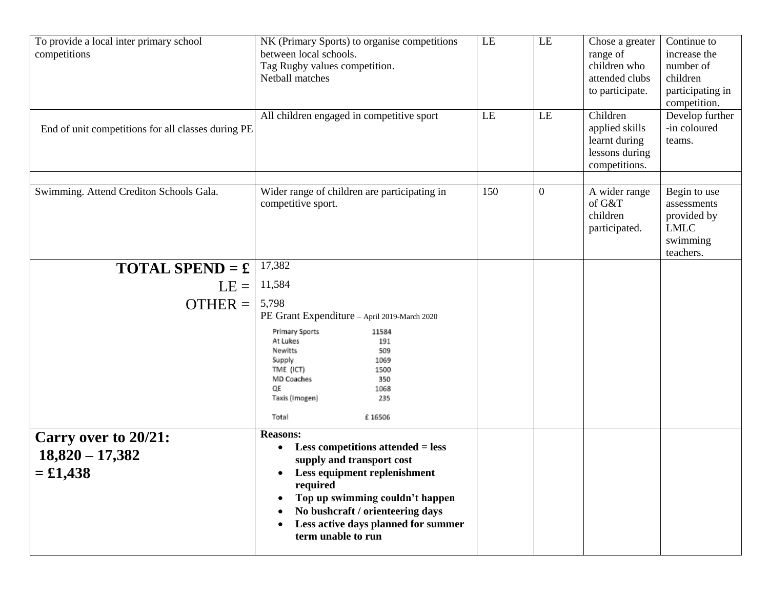| To provide a local inter primary school<br>competitions<br>End of unit competitions for all classes during PE | NK (Primary Sports) to organise competitions<br>between local schools.<br>Tag Rugby values competition.<br>Netball matches<br>All children engaged in competitive sport                                                                                                                                 | LE<br>LE | LE<br>LE         | Chose a greater<br>range of<br>children who<br>attended clubs<br>to participate.<br>Children<br>applied skills<br>learnt during<br>lessons during<br>competitions. | Continue to<br>increase the<br>number of<br>children<br>participating in<br>competition.<br>Develop further<br>-in coloured<br>teams. |
|---------------------------------------------------------------------------------------------------------------|---------------------------------------------------------------------------------------------------------------------------------------------------------------------------------------------------------------------------------------------------------------------------------------------------------|----------|------------------|--------------------------------------------------------------------------------------------------------------------------------------------------------------------|---------------------------------------------------------------------------------------------------------------------------------------|
| Swimming. Attend Crediton Schools Gala.                                                                       | Wider range of children are participating in<br>competitive sport.                                                                                                                                                                                                                                      | 150      | $\boldsymbol{0}$ | A wider range<br>of G&T<br>children<br>participated.                                                                                                               | Begin to use<br>assessments<br>provided by<br><b>LMLC</b><br>swimming<br>teachers.                                                    |
| <b>TOTAL SPEND = £</b>                                                                                        | 17,382                                                                                                                                                                                                                                                                                                  |          |                  |                                                                                                                                                                    |                                                                                                                                       |
| $LE =$                                                                                                        | 11,584                                                                                                                                                                                                                                                                                                  |          |                  |                                                                                                                                                                    |                                                                                                                                       |
| $OTHER =$                                                                                                     | 5,798<br>PE Grant Expenditure - April 2019-March 2020<br>Primary Sports<br>11584<br>At Lukes<br>191<br>Newitts<br>509<br>Supply<br>1069<br>TME (ICT)<br>1500<br>MD Coaches<br>350<br>OE<br>1068<br>Taxis (Imogen)<br>235<br>Total<br>£16506                                                             |          |                  |                                                                                                                                                                    |                                                                                                                                       |
| Carry over to 20/21:<br>$18,820 - 17,382$<br>$=$ £1,438                                                       | <b>Reasons:</b><br><b>Less competitions attended = less</b><br>$\bullet$<br>supply and transport cost<br>Less equipment replenishment<br>required<br>Top up swimming couldn't happen<br>٠<br>No bushcraft / orienteering days<br>Less active days planned for summer<br>$\bullet$<br>term unable to run |          |                  |                                                                                                                                                                    |                                                                                                                                       |